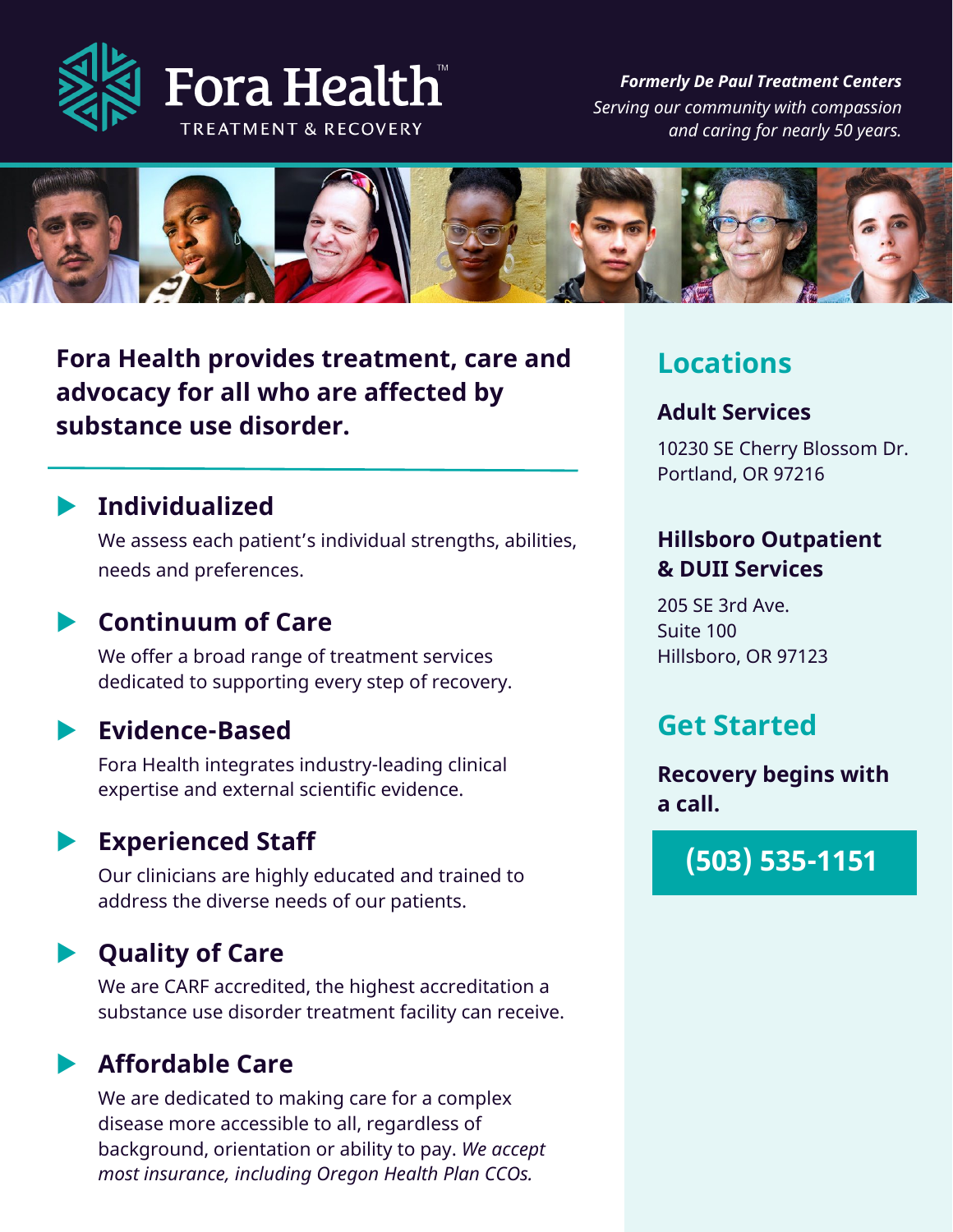

*Formerly De Paul Treatment Centers Serving our community with compassion and caring for nearly 50 years.*



**Fora Health provides treatment, care and advocacy for all who are affected by substance use disorder.**

## **Individualized**

We assess each patient's individual strengths, abilities, needs and preferences.

## **Continuum of Care**

We offer a broad range of treatment services dedicated to supporting every step of recovery.

### **Evidence-Based**

Fora Health integrates industry-leading clinical expertise and external scientific evidence.

## **Experienced Staff**

Our clinicians are highly educated and trained to address the diverse needs of our patients.

## **Quality of Care**

We are CARF accredited, the highest accreditation a substance use disorder treatment facility can receive.

## **Affordable Care**

We are dedicated to making care for a complex disease more accessible to all, regardless of background, orientation or ability to pay. *We accept most insurance, including Oregon Health Plan CCOs.*

## **Locations**

#### **Adult Services**

10230 SE Cherry Blossom Dr. Portland, OR 97216

### **Hillsboro Outpatient & DUII Services**

205 SE 3rd Ave. Suite 100 Hillsboro, OR 97123

## **Get Started**

**Recovery begins with a call.**